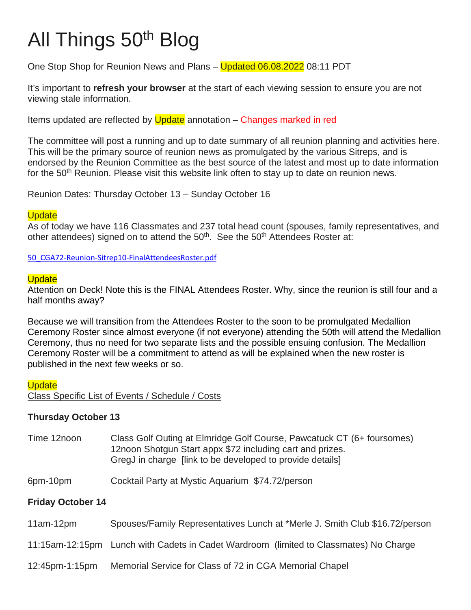# All Things 50th Blog

One Stop Shop for Reunion News and Plans – Updated 06.08.2022 08:11 PDT

It's important to **refresh your browser** at the start of each viewing session to ensure you are not viewing stale information.

Items updated are reflected by Update annotation – Changes marked in red

The committee will post a running and up to date summary of all reunion planning and activities here. This will be the primary source of reunion news as promulgated by the various Sitreps, and is endorsed by the Reunion Committee as the best source of the latest and most up to date information for the 50<sup>th</sup> Reunion. Please visit this website link often to stay up to date on reunion news.

Reunion Dates: Thursday October 13 – Sunday October 16

#### **Update**

As of today we have 116 Classmates and 237 total head count (spouses, family representatives, and other attendees) signed on to attend the  $50<sup>th</sup>$ . See the  $50<sup>th</sup>$  Attendees Roster at:

[50\\_CGA72-Reunion-Sitrep10-FinalAttendeesRoster.pdf](https://cga72.com/50_CGA72-Reunion-Sitrep10-FinalAttendeesRoster.pdf)

## **Update**

Attention on Deck! Note this is the FINAL Attendees Roster. Why, since the reunion is still four and a half months away?

Because we will transition from the Attendees Roster to the soon to be promulgated Medallion Ceremony Roster since almost everyone (if not everyone) attending the 50th will attend the Medallion Ceremony, thus no need for two separate lists and the possible ensuing confusion. The Medallion Ceremony Roster will be a commitment to attend as will be explained when the new roster is published in the next few weeks or so.

**Update** Class Specific List of Events / Schedule / Costs

# **Thursday October 13**

- Time 12noon Class Golf Outing at Elmridge Golf Course, Pawcatuck CT (6+ foursomes) 12noon Shotgun Start appx \$72 including cart and prizes. GregJ in charge [link to be developed to provide details]
- 6pm-10pm Cocktail Party at Mystic Aquarium \$74.72/person

# **Friday October 14**

- 11am-12pm Spouses/Family Representatives Lunch at \*Merle J. Smith Club \$16.72/person
- 11:15am-12:15pm Lunch with Cadets in Cadet Wardroom (limited to Classmates) No Charge
- 12:45pm-1:15pm Memorial Service for Class of 72 in CGA Memorial Chapel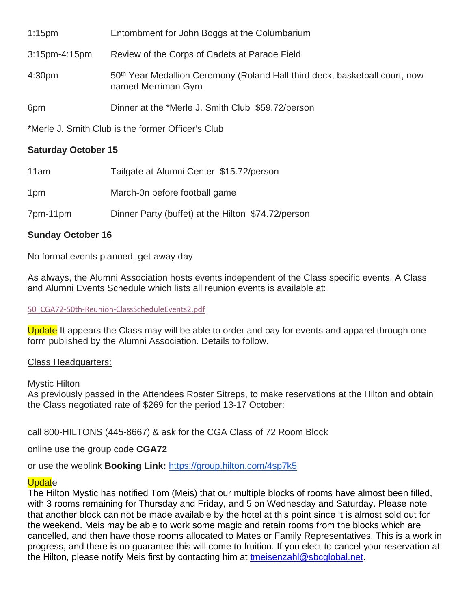| $1:15$ pm          | Entombment for John Boggs at the Columbarium                                                                  |
|--------------------|---------------------------------------------------------------------------------------------------------------|
| $3:15$ pm-4:15pm   | Review of the Corps of Cadets at Parade Field                                                                 |
| 4:30 <sub>pm</sub> | 50 <sup>th</sup> Year Medallion Ceremony (Roland Hall-third deck, basketball court, now<br>named Merriman Gym |
| 6pm                | Dinner at the *Merle J. Smith Club \$59.72/person                                                             |

\*Merle J. Smith Club is the former Officer's Club

# **Saturday October 15**

| 11am            | Tailgate at Alumni Center \$15.72/person           |
|-----------------|----------------------------------------------------|
| 1 <sub>pm</sub> | March-0n before football game                      |
| 7pm-11pm        | Dinner Party (buffet) at the Hilton \$74.72/person |

# **Sunday October 16**

No formal events planned, get-away day

As always, the Alumni Association hosts events independent of the Class specific events. A Class and Alumni Events Schedule which lists all reunion events is available at:

# [50\\_CGA72-50th-Reunion-ClassScheduleEvents2.pdf](https://cga72.com/50_CGA72-50th-Reunion-ClassScheduleEvents2.pdf)

Update It appears the Class may will be able to order and pay for events and apparel through one form published by the Alumni Association. Details to follow.

# Class Headquarters:

Mystic Hilton

As previously passed in the Attendees Roster Sitreps, to make reservations at the Hilton and obtain the Class negotiated rate of \$269 for the period 13-17 October:

call 800-HILTONS (445-8667) & ask for the CGA Class of 72 Room Block

online use the group code **CGA72**

or use the weblink **Booking Link:** <https://group.hilton.com/4sp7k5>

# **Update**

The Hilton Mystic has notified Tom (Meis) that our multiple blocks of rooms have almost been filled, with 3 rooms remaining for Thursday and Friday, and 5 on Wednesday and Saturday. Please note that another block can not be made available by the hotel at this point since it is almost sold out for the weekend. Meis may be able to work some magic and retain rooms from the blocks which are cancelled, and then have those rooms allocated to Mates or Family Representatives. This is a work in progress, and there is no guarantee this will come to fruition. If you elect to cancel your reservation at the Hilton, please notify Meis first by contacting him at [tmeisenzahl@sbcglobal.net.](mailto:tmeisenzahl@sbcglobal.net)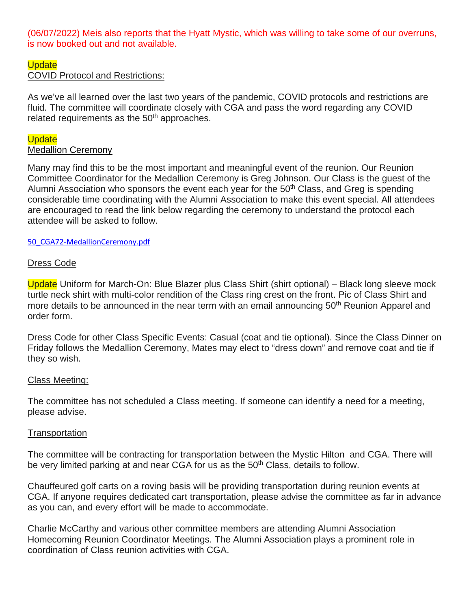(06/07/2022) Meis also reports that the Hyatt Mystic, which was willing to take some of our overruns, is now booked out and not available.

# **Update**

# COVID Protocol and Restrictions:

As we've all learned over the last two years of the pandemic, COVID protocols and restrictions are fluid. The committee will coordinate closely with CGA and pass the word regarding any COVID related requirements as the 50<sup>th</sup> approaches.

# **Update**

# Medallion Ceremony

Many may find this to be the most important and meaningful event of the reunion. Our Reunion Committee Coordinator for the Medallion Ceremony is Greg Johnson. Our Class is the guest of the Alumni Association who sponsors the event each year for the  $50<sup>th</sup>$  Class, and Greg is spending considerable time coordinating with the Alumni Association to make this event special. All attendees are encouraged to read the link below regarding the ceremony to understand the protocol each attendee will be asked to follow.

#### [50\\_CGA72-MedallionCeremony.pdf](https://cga72.com/50_CGA72-MedallionCeremony.pdf)

## Dress Code

Update Uniform for March-On: Blue Blazer plus Class Shirt (shirt optional) – Black long sleeve mock turtle neck shirt with multi-color rendition of the Class ring crest on the front. Pic of Class Shirt and more details to be announced in the near term with an email announcing 50<sup>th</sup> Reunion Apparel and order form.

Dress Code for other Class Specific Events: Casual (coat and tie optional). Since the Class Dinner on Friday follows the Medallion Ceremony, Mates may elect to "dress down" and remove coat and tie if they so wish.

#### Class Meeting:

The committee has not scheduled a Class meeting. If someone can identify a need for a meeting, please advise.

#### **Transportation**

The committee will be contracting for transportation between the Mystic Hilton and CGA. There will be very limited parking at and near CGA for us as the 50<sup>th</sup> Class, details to follow.

Chauffeured golf carts on a roving basis will be providing transportation during reunion events at CGA. If anyone requires dedicated cart transportation, please advise the committee as far in advance as you can, and every effort will be made to accommodate.

Charlie McCarthy and various other committee members are attending Alumni Association Homecoming Reunion Coordinator Meetings. The Alumni Association plays a prominent role in coordination of Class reunion activities with CGA.